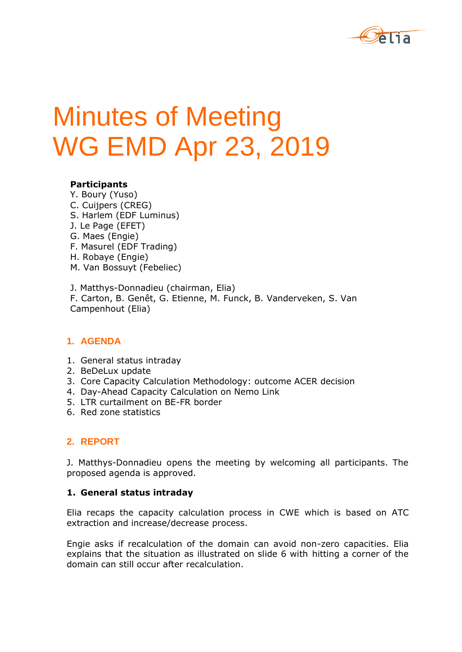

# Minutes of Meeting WG EMD Apr 23, 2019

#### **Participants**

Y. Boury (Yuso) C. Cuijpers (CREG) S. Harlem (EDF Luminus) J. Le Page (EFET) G. Maes (Engie) F. Masurel (EDF Trading) H. Robaye (Engie) M. Van Bossuyt (Febeliec)

J. Matthys-Donnadieu (chairman, Elia) F. Carton, B. Genêt, G. Etienne, M. Funck, B. Vanderveken, S. Van Campenhout (Elia)

## **1. AGENDA**

- 1. General status intraday
- 2. BeDeLux update
- 3. Core Capacity Calculation Methodology: outcome ACER decision
- 4. Day-Ahead Capacity Calculation on Nemo Link
- 5. LTR curtailment on BE-FR border
- 6. Red zone statistics

## **2. REPORT**

J. Matthys-Donnadieu opens the meeting by welcoming all participants. The proposed agenda is approved.

#### **1. General status intraday**

Elia recaps the capacity calculation process in CWE which is based on ATC extraction and increase/decrease process.

Engie asks if recalculation of the domain can avoid non-zero capacities. Elia explains that the situation as illustrated on slide 6 with hitting a corner of the domain can still occur after recalculation.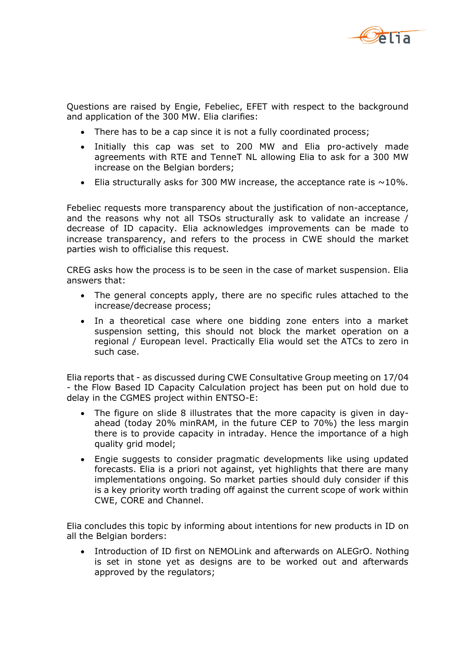

Questions are raised by Engie, Febeliec, EFET with respect to the background and application of the 300 MW. Elia clarifies:

- There has to be a cap since it is not a fully coordinated process;
- Initially this cap was set to 200 MW and Elia pro-actively made agreements with RTE and TenneT NL allowing Elia to ask for a 300 MW increase on the Belgian borders;
- Elia structurally asks for 300 MW increase, the acceptance rate is  $\sim$ 10%.

Febeliec requests more transparency about the justification of non-acceptance, and the reasons why not all TSOs structurally ask to validate an increase / decrease of ID capacity. Elia acknowledges improvements can be made to increase transparency, and refers to the process in CWE should the market parties wish to officialise this request.

CREG asks how the process is to be seen in the case of market suspension. Elia answers that:

- The general concepts apply, there are no specific rules attached to the increase/decrease process;
- In a theoretical case where one bidding zone enters into a market suspension setting, this should not block the market operation on a regional / European level. Practically Elia would set the ATCs to zero in such case.

Elia reports that - as discussed during CWE Consultative Group meeting on 17/04 - the Flow Based ID Capacity Calculation project has been put on hold due to delay in the CGMES project within ENTSO-E:

- The figure on slide 8 illustrates that the more capacity is given in dayahead (today 20% minRAM, in the future CEP to 70%) the less margin there is to provide capacity in intraday. Hence the importance of a high quality grid model;
- Engie suggests to consider pragmatic developments like using updated forecasts. Elia is a priori not against, yet highlights that there are many implementations ongoing. So market parties should duly consider if this is a key priority worth trading off against the current scope of work within CWE, CORE and Channel.

Elia concludes this topic by informing about intentions for new products in ID on all the Belgian borders:

• Introduction of ID first on NEMOLink and afterwards on ALEGrO. Nothing is set in stone yet as designs are to be worked out and afterwards approved by the regulators;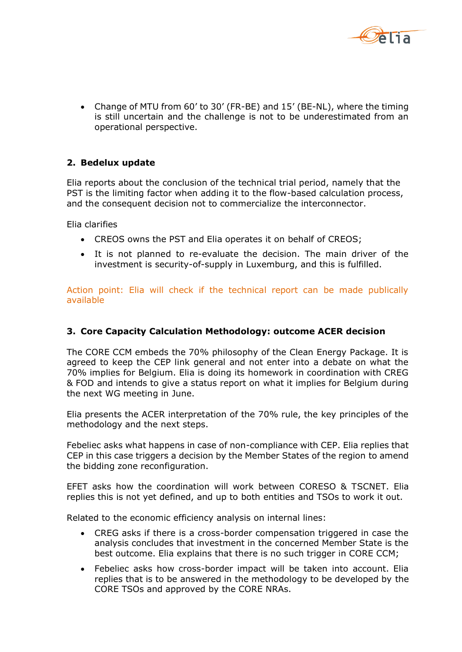

• Change of MTU from 60' to 30' (FR-BE) and 15' (BE-NL), where the timing is still uncertain and the challenge is not to be underestimated from an operational perspective.

### **2. Bedelux update**

Elia reports about the conclusion of the technical trial period, namely that the PST is the limiting factor when adding it to the flow-based calculation process, and the consequent decision not to commercialize the interconnector.

Elia clarifies

- CREOS owns the PST and Elia operates it on behalf of CREOS;
- It is not planned to re-evaluate the decision. The main driver of the investment is security-of-supply in Luxemburg, and this is fulfilled.

Action point: Elia will check if the technical report can be made publically available

#### **3. Core Capacity Calculation Methodology: outcome ACER decision**

The CORE CCM embeds the 70% philosophy of the Clean Energy Package. It is agreed to keep the CEP link general and not enter into a debate on what the 70% implies for Belgium. Elia is doing its homework in coordination with CREG & FOD and intends to give a status report on what it implies for Belgium during the next WG meeting in June.

Elia presents the ACER interpretation of the 70% rule, the key principles of the methodology and the next steps.

Febeliec asks what happens in case of non-compliance with CEP. Elia replies that CEP in this case triggers a decision by the Member States of the region to amend the bidding zone reconfiguration.

EFET asks how the coordination will work between CORESO & TSCNET. Elia replies this is not yet defined, and up to both entities and TSOs to work it out.

Related to the economic efficiency analysis on internal lines:

- CREG asks if there is a cross-border compensation triggered in case the analysis concludes that investment in the concerned Member State is the best outcome. Elia explains that there is no such trigger in CORE CCM;
- Febeliec asks how cross-border impact will be taken into account. Elia replies that is to be answered in the methodology to be developed by the CORE TSOs and approved by the CORE NRAs.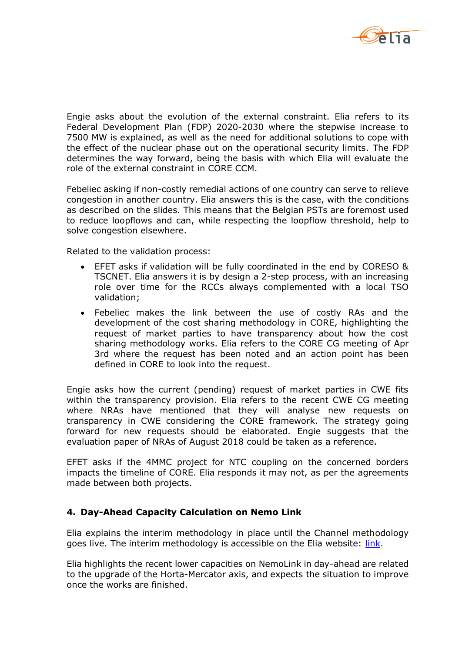

Engie asks about the evolution of the external constraint. Elia refers to its Federal Development Plan (FDP) 2020-2030 where the stepwise increase to 7500 MW is explained, as well as the need for additional solutions to cope with the effect of the nuclear phase out on the operational security limits. The FDP determines the way forward, being the basis with which Elia will evaluate the role of the external constraint in CORE CCM.

Febeliec asking if non-costly remedial actions of one country can serve to relieve congestion in another country. Elia answers this is the case, with the conditions as described on the slides. This means that the Belgian PSTs are foremost used to reduce loopflows and can, while respecting the loopflow threshold, help to solve congestion elsewhere.

Related to the validation process:

- EFET asks if validation will be fully coordinated in the end by CORESO & TSCNET. Elia answers it is by design a 2-step process, with an increasing role over time for the RCCs always complemented with a local TSO validation;
- Febeliec makes the link between the use of costly RAs and the development of the cost sharing methodology in CORE, highlighting the request of market parties to have transparency about how the cost sharing methodology works. Elia refers to the CORE CG meeting of Apr 3rd where the request has been noted and an action point has been defined in CORE to look into the request.

Engie asks how the current (pending) request of market parties in CWE fits within the transparency provision. Elia refers to the recent CWE CG meeting where NRAs have mentioned that they will analyse new requests on transparency in CWE considering the CORE framework. The strategy going forward for new requests should be elaborated. Engie suggests that the evaluation paper of NRAs of August 2018 could be taken as a reference.

EFET asks if the 4MMC project for NTC coupling on the concerned borders impacts the timeline of CORE. Elia responds it may not, as per the agreements made between both projects.

#### **4. Day-Ahead Capacity Calculation on Nemo Link**

Elia explains the interim methodology in place until the Channel methodology goes live. The interim methodology is accessible on the Elia website: [link.](http://www.elia.be/~/media/files/Elia/Products-and-services/Crossborder2/20190121_Local_Calculatio_HL_description_publication_V4.pdf)

Elia highlights the recent lower capacities on NemoLink in day-ahead are related to the upgrade of the Horta-Mercator axis, and expects the situation to improve once the works are finished.